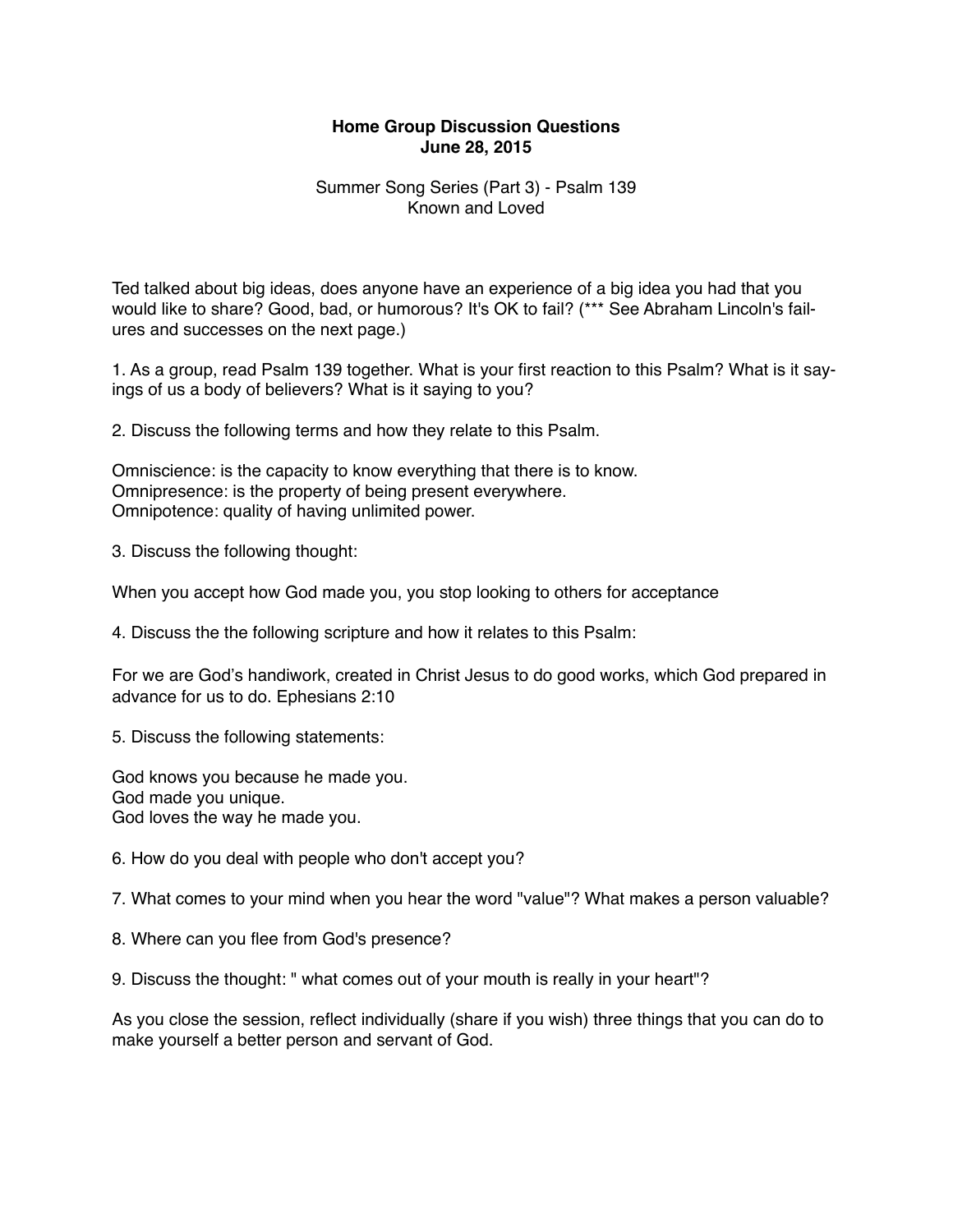## **Home Group Discussion Questions June 28, 2015**

## Summer Song Series (Part 3) - Psalm 139 Known and Loved

Ted talked about big ideas, does anyone have an experience of a big idea you had that you would like to share? Good, bad, or humorous? It's OK to fail? (\*\*\* See Abraham Lincoln's failures and successes on the next page.)

1. As a group, read Psalm 139 together. What is your first reaction to this Psalm? What is it sayings of us a body of believers? What is it saying to you?

2. Discuss the following terms and how they relate to this Psalm.

Omniscience: is the capacity to know everything that there is to know. Omnipresence: is the property of being present everywhere. Omnipotence: quality of having unlimited power.

3. Discuss the following thought:

When you accept how God made you, you stop looking to others for acceptance

4. Discuss the the following scripture and how it relates to this Psalm:

For we are God's handiwork, created in Christ Jesus to do good works, which God prepared in advance for us to do. Ephesians 2:10

5. Discuss the following statements:

God knows you because he made you. God made you unique. God loves the way he made you.

6. How do you deal with people who don't accept you?

7. What comes to your mind when you hear the word "value"? What makes a person valuable?

8. Where can you flee from God's presence?

9. Discuss the thought: " what comes out of your mouth is really in your heart"?

As you close the session, reflect individually (share if you wish) three things that you can do to make yourself a better person and servant of God.